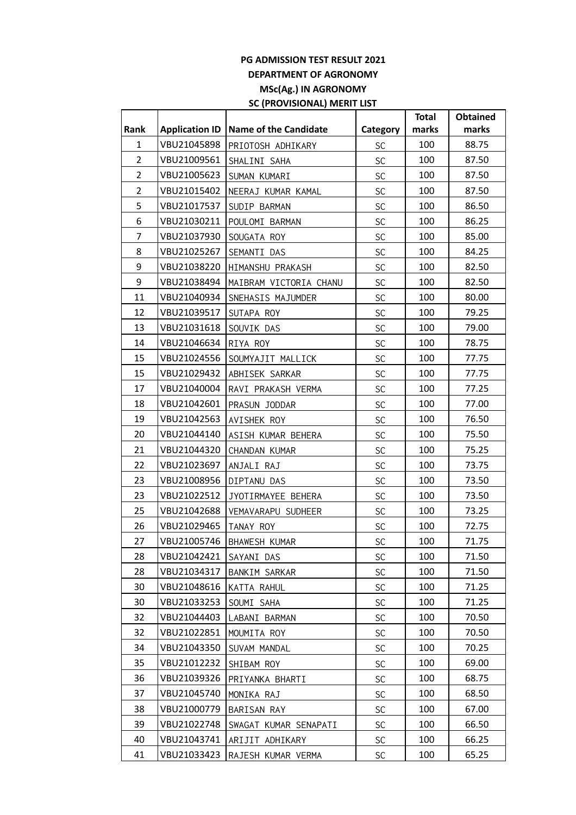## **PG ADMISSION TEST RESULT 2021 DEPARTMENT OF AGRONOMY MSc(Ag.) IN AGRONOMY SC (PROVISIONAL) MERIT LIST**

|                |                       |                             |               | <b>Total</b> | <b>Obtained</b> |
|----------------|-----------------------|-----------------------------|---------------|--------------|-----------------|
| Rank           | <b>Application ID</b> | Name of the Candidate       | Category      | marks        | marks           |
| $\mathbf{1}$   | VBU21045898           | PRIOTOSH ADHIKARY           | SC            | 100          | 88.75           |
| $\overline{2}$ | VBU21009561           | SHALINI SAHA                | SC            | 100          | 87.50           |
| $\overline{2}$ | VBU21005623           | SUMAN KUMARI                | SC            | 100          | 87.50           |
| $\overline{2}$ | VBU21015402           | NEERAJ KUMAR KAMAL          | SC            | 100          | 87.50           |
| 5              | VBU21017537           | SUDIP BARMAN                | SC            | 100          | 86.50           |
| 6              | VBU21030211           | POULOMI BARMAN              | SC            | 100          | 86.25           |
| 7              | VBU21037930           | SOUGATA ROY                 | SC            | 100          | 85.00           |
| 8              | VBU21025267           | SEMANTI DAS                 | SC            | 100          | 84.25           |
| 9              | VBU21038220           | HIMANSHU PRAKASH            | SC            | 100          | 82.50           |
| 9              | VBU21038494           | MAIBRAM VICTORIA CHANU      | SC            | 100          | 82.50           |
| 11             | VBU21040934           | SNEHASIS MAJUMDER           | SC            | 100          | 80.00           |
| 12             | VBU21039517           | SUTAPA ROY                  | SC            | 100          | 79.25           |
| 13             | VBU21031618           | SOUVIK DAS                  | SC            | 100          | 79.00           |
| 14             | VBU21046634           | RIYA ROY                    | SC            | 100          | 78.75           |
| 15             | VBU21024556           | SOUMYAJIT MALLICK           | SC            | 100          | 77.75           |
| 15             | VBU21029432           | ABHISEK SARKAR              | SC            | 100          | 77.75           |
| 17             | VBU21040004           | RAVI PRAKASH VERMA          | SC            | 100          | 77.25           |
| 18             | VBU21042601           | PRASUN JODDAR               | SC            | 100          | 77.00           |
| 19             | VBU21042563           | AVISHEK ROY                 | SC            | 100          | 76.50           |
| 20             | VBU21044140           | ASISH KUMAR BEHERA          | SC            | 100          | 75.50           |
| 21             | VBU21044320           | CHANDAN KUMAR               | SC            | 100          | 75.25           |
| 22             | VBU21023697           | ANJALI RAJ                  | SC            | 100          | 73.75           |
| 23             | VBU21008956           | DIPTANU DAS                 | SC            | 100          | 73.50           |
| 23             | VBU21022512           | JYOTIRMAYEE BEHERA          | SC            | 100          | 73.50           |
| 25             | VBU21042688           | VEMAVARAPU SUDHEER          | SC            | 100          | 73.25           |
| 26             | VBU21029465           | TANAY ROY                   | SC            | 100          | 72.75           |
| 27             |                       | VBU21005746   BHAWESH KUMAR | $\mathsf{SC}$ | 100          | 71.75           |
| 28             | VBU21042421           | SAYANI DAS                  | <b>SC</b>     | 100          | 71.50           |
| 28             | VBU21034317           | BANKIM SARKAR               | <b>SC</b>     | 100          | 71.50           |
| 30             | VBU21048616           | KATTA RAHUL                 | SC            | 100          | 71.25           |
| 30             | VBU21033253           | SOUMI SAHA                  | SC            | 100          | 71.25           |
| 32             | VBU21044403           | LABANI BARMAN               | SC            | 100          | 70.50           |
| 32             | VBU21022851           | MOUMITA ROY                 | <b>SC</b>     | 100          | 70.50           |
| 34             | VBU21043350           | SUVAM MANDAL                | SC            | 100          | 70.25           |
| 35             | VBU21012232           | SHIBAM ROY                  | SC            | 100          | 69.00           |
| 36             | VBU21039326           | PRIYANKA BHARTI             | <b>SC</b>     | 100          | 68.75           |
| 37             | VBU21045740           | MONIKA RAJ                  | SC            | 100          | 68.50           |
| 38             | VBU21000779           | BARISAN RAY                 | <b>SC</b>     | 100          | 67.00           |
| 39             | VBU21022748           | SWAGAT KUMAR SENAPATI       | SC            | 100          | 66.50           |
| 40             | VBU21043741           | ARIJIT ADHIKARY             | <b>SC</b>     | 100          | 66.25           |
| 41             | VBU21033423           | RAJESH KUMAR VERMA          | <b>SC</b>     | 100          | 65.25           |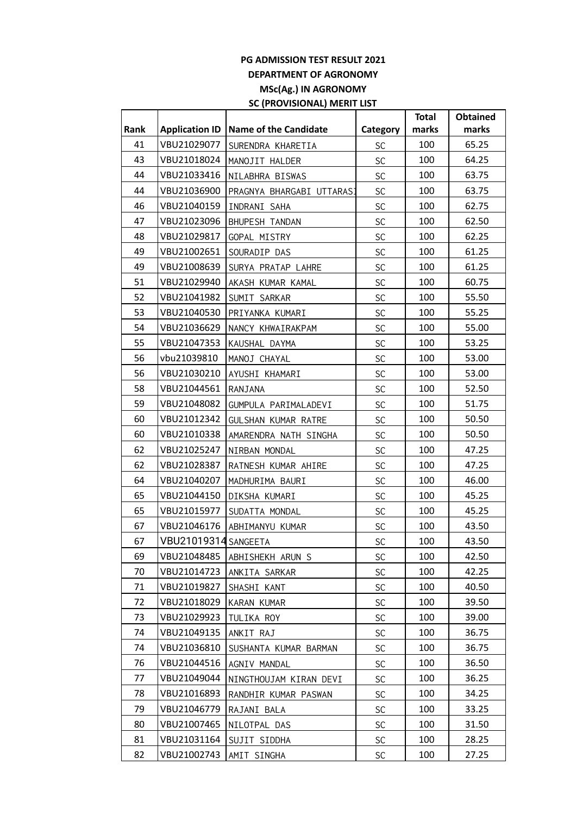## **PG ADMISSION TEST RESULT 2021 DEPARTMENT OF AGRONOMY MSc(Ag.) IN AGRONOMY SC (PROVISIONAL) MERIT LIST**

|      |                       |                           |               | <b>Total</b> | <b>Obtained</b> |
|------|-----------------------|---------------------------|---------------|--------------|-----------------|
| Rank | <b>Application ID</b> | Name of the Candidate     | Category      | marks        | marks           |
| 41   | VBU21029077           | SURENDRA KHARETIA         | SC            | 100          | 65.25           |
| 43   | VBU21018024           | MANOJIT HALDER            | SC            | 100          | 64.25           |
| 44   | VBU21033416           | NILABHRA BISWAS           | SC            | 100          | 63.75           |
| 44   | VBU21036900           | PRAGNYA BHARGABI UTTARASI | SC            | 100          | 63.75           |
| 46   | VBU21040159           | INDRANI SAHA              | SC            | 100          | 62.75           |
| 47   | VBU21023096           | BHUPESH TANDAN            | SC            | 100          | 62.50           |
| 48   | VBU21029817           | GOPAL MISTRY              | SC            | 100          | 62.25           |
| 49   | VBU21002651           | SOURADIP DAS              | SC            | 100          | 61.25           |
| 49   | VBU21008639           | SURYA PRATAP LAHRE        | SC            | 100          | 61.25           |
| 51   | VBU21029940           | AKASH KUMAR KAMAL         | SC            | 100          | 60.75           |
| 52   | VBU21041982           | SUMIT SARKAR              | SC            | 100          | 55.50           |
| 53   | VBU21040530           | PRIYANKA KUMARI           | SC            | 100          | 55.25           |
| 54   | VBU21036629           | NANCY KHWAIRAKPAM         | SC            | 100          | 55.00           |
| 55   | VBU21047353           | KAUSHAL DAYMA             | SC            | 100          | 53.25           |
| 56   | vbu21039810           | MANOJ CHAYAL              | SC            | 100          | 53.00           |
| 56   | VBU21030210           | AYUSHI KHAMARI            | SC            | 100          | 53.00           |
| 58   | VBU21044561           | RANJANA                   | SC            | 100          | 52.50           |
| 59   | VBU21048082           | GUMPULA PARIMALADEVI      | SC            | 100          | 51.75           |
| 60   | VBU21012342           | GULSHAN KUMAR RATRE       | SC            | 100          | 50.50           |
| 60   | VBU21010338           | AMARENDRA NATH SINGHA     | SC            | 100          | 50.50           |
| 62   | VBU21025247           | NIRBAN MONDAL             | SC            | 100          | 47.25           |
| 62   | VBU21028387           | RATNESH KUMAR AHIRE       | SC            | 100          | 47.25           |
| 64   | VBU21040207           | MADHURIMA BAURI           | SC            | 100          | 46.00           |
| 65   | VBU21044150           | DIKSHA KUMARI             | SC            | 100          | 45.25           |
| 65   | VBU21015977           | SUDATTA MONDAL            | SC            | 100          | 45.25           |
| 67   | VBU21046176           | ABHIMANYU KUMAR           | SC            | 100          | 43.50           |
| 67   | VBU21019314 SANGEETA  |                           | $\mathsf{SC}$ | 100          | 43.50           |
| 69   | VBU21048485           | ABHISHEKH ARUN S          | <b>SC</b>     | 100          | 42.50           |
| 70   | VBU21014723           | ANKITA SARKAR             | SC            | 100          | 42.25           |
| 71   | VBU21019827           | SHASHI KANT               | SC            | 100          | 40.50           |
| 72   | VBU21018029           | KARAN KUMAR               | SC            | 100          | 39.50           |
| 73   | VBU21029923           | TULIKA ROY                | <b>SC</b>     | 100          | 39.00           |
| 74   | VBU21049135           | ANKIT RAJ                 | <b>SC</b>     | 100          | 36.75           |
| 74   | VBU21036810           | SUSHANTA KUMAR BARMAN     | SC            | 100          | 36.75           |
| 76   | VBU21044516           | AGNIV MANDAL              | SC            | 100          | 36.50           |
| 77   | VBU21049044           | NINGTHOUJAM KIRAN DEVI    | <b>SC</b>     | 100          | 36.25           |
| 78   | VBU21016893           | RANDHIR KUMAR PASWAN      | <b>SC</b>     | 100          | 34.25           |
| 79   | VBU21046779           | RAJANI BALA               | SC            | 100          | 33.25           |
| 80   | VBU21007465           | NILOTPAL DAS              | <b>SC</b>     | 100          | 31.50           |
| 81   | VBU21031164           | SUJIT SIDDHA              | <b>SC</b>     | 100          | 28.25           |
| 82   | VBU21002743           | AMIT SINGHA               | <b>SC</b>     | 100          | 27.25           |